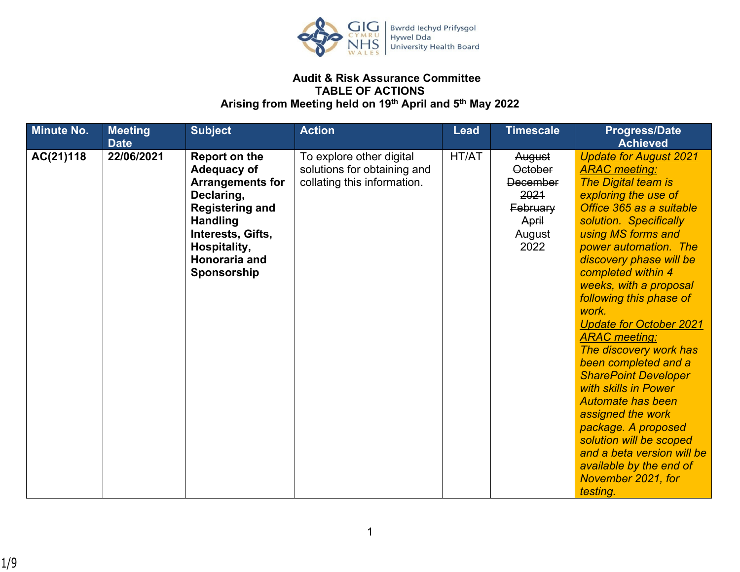

## **Audit & Risk Assurance Committee TABLE OF ACTIONS Arising from Meeting held on 19th April and 5th May 2022**

| <b>Minute No.</b> | <b>Meeting</b><br><b>Date</b> | <b>Subject</b>                                                                                                                                                                                        | <b>Action</b>                                                                          | <b>Lead</b> | <b>Timescale</b>                                                                           | <b>Progress/Date</b><br><b>Achieved</b>                                                                                                                                                                                                                                                                                                                                                                                                                                                                                                                                                                                                                                                          |
|-------------------|-------------------------------|-------------------------------------------------------------------------------------------------------------------------------------------------------------------------------------------------------|----------------------------------------------------------------------------------------|-------------|--------------------------------------------------------------------------------------------|--------------------------------------------------------------------------------------------------------------------------------------------------------------------------------------------------------------------------------------------------------------------------------------------------------------------------------------------------------------------------------------------------------------------------------------------------------------------------------------------------------------------------------------------------------------------------------------------------------------------------------------------------------------------------------------------------|
| AC(21)118         | 22/06/2021                    | <b>Report on the</b><br>Adequacy of<br><b>Arrangements for</b><br>Declaring,<br><b>Registering and</b><br><b>Handling</b><br>Interests, Gifts,<br>Hospitality,<br><b>Honoraria and</b><br>Sponsorship | To explore other digital<br>solutions for obtaining and<br>collating this information. | HT/AT       | August<br><b>October</b><br><b>December</b><br>2021<br>February<br>April<br>August<br>2022 | <b>Update for August 2021</b><br><b>ARAC</b> meeting:<br><b>The Digital team is</b><br>exploring the use of<br>Office 365 as a suitable<br>solution. Specifically<br>using MS forms and<br>power automation. The<br>discovery phase will be<br>completed within 4<br>weeks, with a proposal<br>following this phase of<br>work.<br><b>Update for October 2021</b><br><b>ARAC</b> meeting:<br>The discovery work has<br>been completed and a<br><b>SharePoint Developer</b><br>with skills in Power<br><b>Automate has been</b><br>assigned the work<br>package. A proposed<br>solution will be scoped<br>and a beta version will be<br>available by the end of<br>November 2021, for<br>testing. |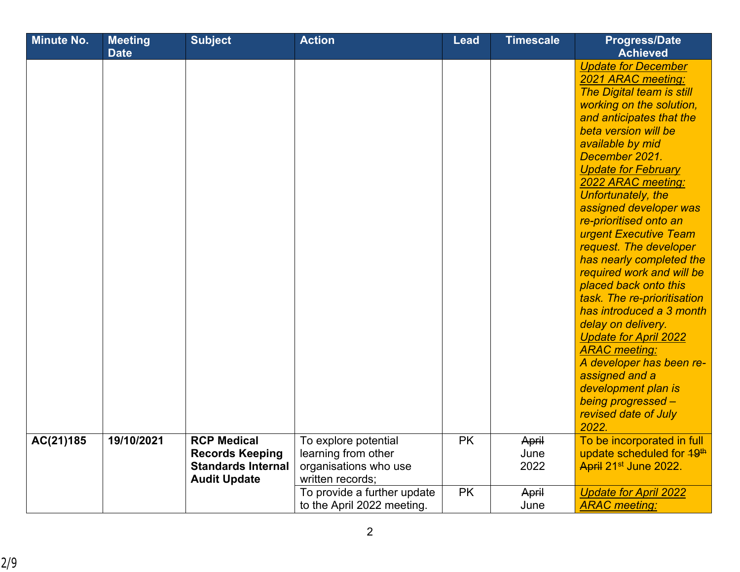| <b>Minute No.</b> | <b>Meeting</b> | <b>Subject</b>            | <b>Action</b>                               | <b>Lead</b> | <b>Timescale</b> | <b>Progress/Date</b>                                                |
|-------------------|----------------|---------------------------|---------------------------------------------|-------------|------------------|---------------------------------------------------------------------|
|                   | <b>Date</b>    |                           |                                             |             |                  | <b>Achieved</b>                                                     |
|                   |                |                           |                                             |             |                  | <b>Update for December</b>                                          |
|                   |                |                           |                                             |             |                  | 2021 ARAC meeting:                                                  |
|                   |                |                           |                                             |             |                  | The Digital team is still                                           |
|                   |                |                           |                                             |             |                  | working on the solution,                                            |
|                   |                |                           |                                             |             |                  | and anticipates that the                                            |
|                   |                |                           |                                             |             |                  | beta version will be                                                |
|                   |                |                           |                                             |             |                  | available by mid                                                    |
|                   |                |                           |                                             |             |                  | December 2021.                                                      |
|                   |                |                           |                                             |             |                  | <b>Update for February</b>                                          |
|                   |                |                           |                                             |             |                  | 2022 ARAC meeting:                                                  |
|                   |                |                           |                                             |             |                  | Unfortunately, the                                                  |
|                   |                |                           |                                             |             |                  | assigned developer was                                              |
|                   |                |                           |                                             |             |                  | re-prioritised onto an                                              |
|                   |                |                           |                                             |             |                  | urgent Executive Team                                               |
|                   |                |                           |                                             |             |                  | request. The developer                                              |
|                   |                |                           |                                             |             |                  | has nearly completed the                                            |
|                   |                |                           |                                             |             |                  | required work and will be                                           |
|                   |                |                           |                                             |             |                  | placed back onto this                                               |
|                   |                |                           |                                             |             |                  | task. The re-prioritisation                                         |
|                   |                |                           |                                             |             |                  | has introduced a 3 month                                            |
|                   |                |                           |                                             |             |                  | delay on delivery.                                                  |
|                   |                |                           |                                             |             |                  | <b>Update for April 2022</b>                                        |
|                   |                |                           |                                             |             |                  | <b>ARAC</b> meeting:                                                |
|                   |                |                           |                                             |             |                  | A developer has been re-                                            |
|                   |                |                           |                                             |             |                  | assigned and a                                                      |
|                   |                |                           |                                             |             |                  | development plan is                                                 |
|                   |                |                           |                                             |             |                  | being progressed -                                                  |
|                   |                |                           |                                             |             |                  | revised date of July<br>2022.                                       |
| AC(21)185         | 19/10/2021     | <b>RCP Medical</b>        |                                             | <b>PK</b>   |                  |                                                                     |
|                   |                | <b>Records Keeping</b>    | To explore potential<br>learning from other |             | April<br>June    | To be incorporated in full<br>update scheduled for 49 <sup>th</sup> |
|                   |                | <b>Standards Internal</b> | organisations who use                       |             | 2022             | April 21 <sup>st</sup> June 2022.                                   |
|                   |                | <b>Audit Update</b>       | written records;                            |             |                  |                                                                     |
|                   |                |                           | To provide a further update                 | <b>PK</b>   | April            | <b>Update for April 2022</b>                                        |
|                   |                |                           | to the April 2022 meeting.                  |             | June             | <b>ARAC</b> meeting:                                                |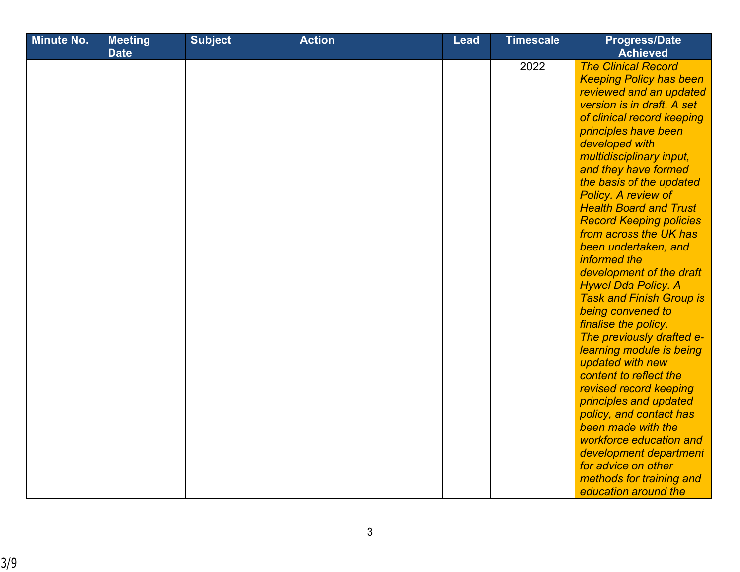| <b>Minute No.</b> | <b>Meeting</b><br><b>Date</b> | <b>Subject</b> | <b>Action</b> | <b>Lead</b> | <b>Timescale</b> | <b>Progress/Date</b><br><b>Achieved</b>                                                                                                                                                                                                                                                                                                                                                                                                                                                                                                                                                                                                                                                                                                                                                                                                                                                                 |
|-------------------|-------------------------------|----------------|---------------|-------------|------------------|---------------------------------------------------------------------------------------------------------------------------------------------------------------------------------------------------------------------------------------------------------------------------------------------------------------------------------------------------------------------------------------------------------------------------------------------------------------------------------------------------------------------------------------------------------------------------------------------------------------------------------------------------------------------------------------------------------------------------------------------------------------------------------------------------------------------------------------------------------------------------------------------------------|
|                   |                               |                |               |             | 2022             | <b>The Clinical Record</b><br><b>Keeping Policy has been</b><br>reviewed and an updated<br>version is in draft. A set<br>of clinical record keeping<br>principles have been<br>developed with<br>multidisciplinary input,<br>and they have formed<br>the basis of the updated<br>Policy. A review of<br><b>Health Board and Trust</b><br><b>Record Keeping policies</b><br>from across the UK has<br>been undertaken, and<br>informed the<br>development of the draft<br><b>Hywel Dda Policy. A</b><br><b>Task and Finish Group is</b><br>being convened to<br>finalise the policy.<br>The previously drafted e-<br>learning module is being<br>updated with new<br>content to reflect the<br>revised record keeping<br>principles and updated<br>policy, and contact has<br>been made with the<br>workforce education and<br>development department<br>for advice on other<br>methods for training and |
|                   |                               |                |               |             |                  | education around the                                                                                                                                                                                                                                                                                                                                                                                                                                                                                                                                                                                                                                                                                                                                                                                                                                                                                    |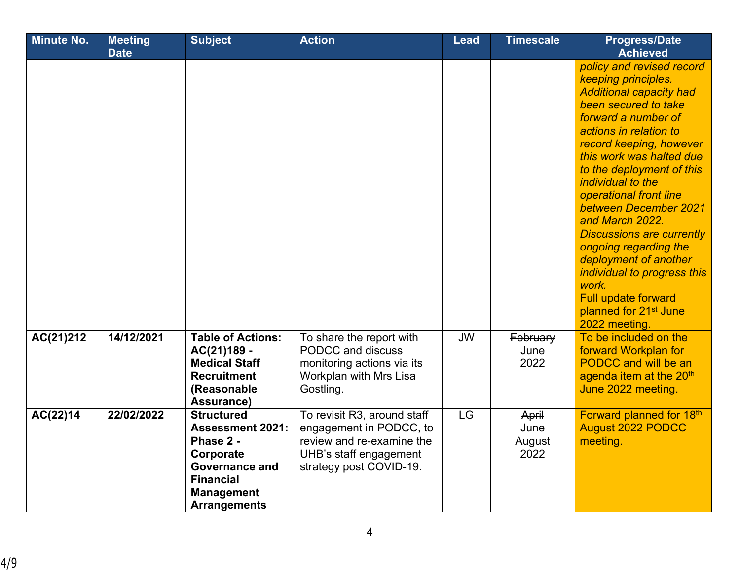| <b>Minute No.</b> | <b>Meeting</b> | <b>Subject</b>                                                                                                                                                  | <b>Action</b>                                                                                                                            | <b>Lead</b> | <b>Timescale</b>                       | <b>Progress/Date</b>                                                                                                                                                                                                                                                                                                                                                                                                                                                                                                                                                     |
|-------------------|----------------|-----------------------------------------------------------------------------------------------------------------------------------------------------------------|------------------------------------------------------------------------------------------------------------------------------------------|-------------|----------------------------------------|--------------------------------------------------------------------------------------------------------------------------------------------------------------------------------------------------------------------------------------------------------------------------------------------------------------------------------------------------------------------------------------------------------------------------------------------------------------------------------------------------------------------------------------------------------------------------|
|                   | <b>Date</b>    |                                                                                                                                                                 |                                                                                                                                          |             |                                        | <b>Achieved</b><br>policy and revised record<br>keeping principles.<br><b>Additional capacity had</b><br>been secured to take<br>forward a number of<br>actions in relation to<br>record keeping, however<br>this work was halted due<br>to the deployment of this<br>individual to the<br>operational front line<br>between December 2021<br>and March 2022.<br><b>Discussions are currently</b><br>ongoing regarding the<br>deployment of another<br>individual to progress this<br>work.<br>Full update forward<br>planned for 21 <sup>st</sup> June<br>2022 meeting. |
| AC(21)212         | 14/12/2021     | <b>Table of Actions:</b><br>AC(21)189 -<br><b>Medical Staff</b><br><b>Recruitment</b><br>(Reasonable<br>Assurance)                                              | To share the report with<br>PODCC and discuss<br>monitoring actions via its<br>Workplan with Mrs Lisa<br>Gostling.                       | <b>JW</b>   | February<br>June<br>2022               | To be included on the<br>forward Workplan for<br><b>PODCC</b> and will be an<br>agenda item at the 20 <sup>th</sup><br>June 2022 meeting.                                                                                                                                                                                                                                                                                                                                                                                                                                |
| AC(22)14          | 22/02/2022     | <b>Structured</b><br><b>Assessment 2021:</b><br>Phase 2 -<br>Corporate<br><b>Governance and</b><br><b>Financial</b><br><b>Management</b><br><b>Arrangements</b> | To revisit R3, around staff<br>engagement in PODCC, to<br>review and re-examine the<br>UHB's staff engagement<br>strategy post COVID-19. | <b>LG</b>   | April<br><b>June</b><br>August<br>2022 | Forward planned for 18th<br><b>August 2022 PODCC</b><br>meeting.                                                                                                                                                                                                                                                                                                                                                                                                                                                                                                         |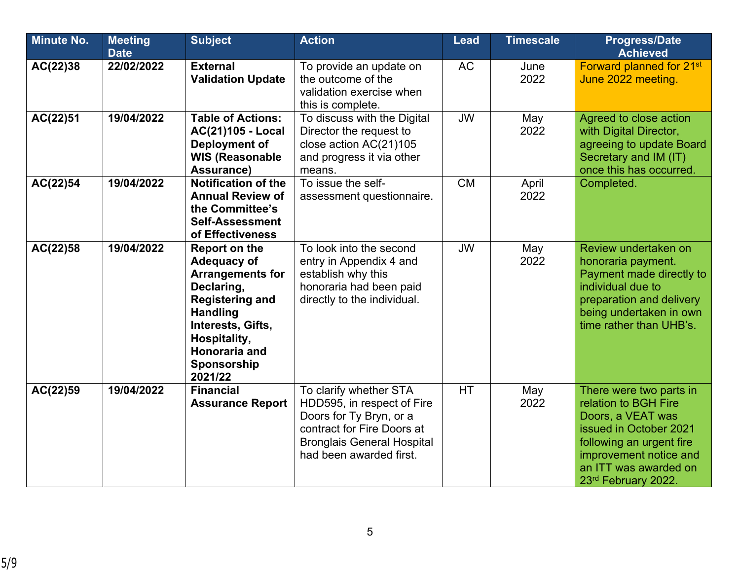| <b>Minute No.</b> | <b>Meeting</b><br><b>Date</b> | <b>Subject</b>                                                                                                                                                                                                   | <b>Action</b>                                                                                                                                                                 | <b>Lead</b> | <b>Timescale</b> | <b>Progress/Date</b><br><b>Achieved</b>                                                                                                                                                              |
|-------------------|-------------------------------|------------------------------------------------------------------------------------------------------------------------------------------------------------------------------------------------------------------|-------------------------------------------------------------------------------------------------------------------------------------------------------------------------------|-------------|------------------|------------------------------------------------------------------------------------------------------------------------------------------------------------------------------------------------------|
| AC(22)38          | 22/02/2022                    | <b>External</b><br><b>Validation Update</b>                                                                                                                                                                      | To provide an update on<br>the outcome of the<br>validation exercise when<br>this is complete.                                                                                | <b>AC</b>   | June<br>2022     | Forward planned for 21 <sup>st</sup><br>June 2022 meeting.                                                                                                                                           |
| AC(22)51          | 19/04/2022                    | <b>Table of Actions:</b><br><b>AC(21)105 - Local</b><br>Deployment of<br><b>WIS (Reasonable</b><br>Assurance)                                                                                                    | To discuss with the Digital<br>Director the request to<br>close action AC(21)105<br>and progress it via other<br>means.                                                       | <b>JW</b>   | May<br>2022      | Agreed to close action<br>with Digital Director,<br>agreeing to update Board<br>Secretary and IM (IT)<br>once this has occurred.                                                                     |
| AC(22)54          | 19/04/2022                    | <b>Notification of the</b><br><b>Annual Review of</b><br>the Committee's<br><b>Self-Assessment</b><br>of Effectiveness                                                                                           | To issue the self-<br>assessment questionnaire.                                                                                                                               | <b>CM</b>   | April<br>2022    | Completed.                                                                                                                                                                                           |
| AC(22)58          | 19/04/2022                    | <b>Report on the</b><br><b>Adequacy of</b><br><b>Arrangements for</b><br>Declaring,<br><b>Registering and</b><br><b>Handling</b><br>Interests, Gifts,<br>Hospitality,<br>Honoraria and<br>Sponsorship<br>2021/22 | To look into the second<br>entry in Appendix 4 and<br>establish why this<br>honoraria had been paid<br>directly to the individual.                                            | <b>JW</b>   | May<br>2022      | Review undertaken on<br>honoraria payment.<br>Payment made directly to<br>individual due to<br>preparation and delivery<br>being undertaken in own<br>time rather than UHB's.                        |
| AC(22)59          | 19/04/2022                    | <b>Financial</b><br><b>Assurance Report</b>                                                                                                                                                                      | To clarify whether STA<br>HDD595, in respect of Fire<br>Doors for Ty Bryn, or a<br>contract for Fire Doors at<br><b>Bronglais General Hospital</b><br>had been awarded first. | <b>HT</b>   | May<br>2022      | There were two parts in<br>relation to BGH Fire<br>Doors, a VEAT was<br>issued in October 2021<br>following an urgent fire<br>improvement notice and<br>an ITT was awarded on<br>23rd February 2022. |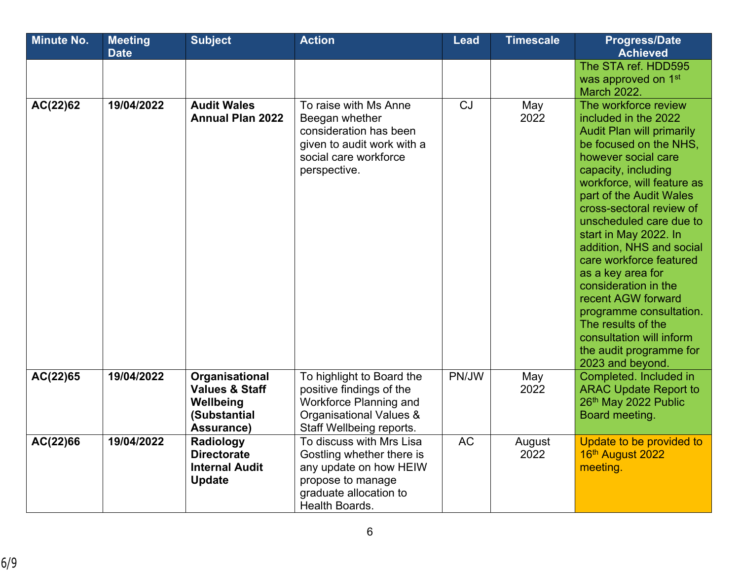| <b>Minute No.</b> | <b>Meeting</b> | <b>Subject</b>                                                                         | <b>Action</b>                                                                                                                                    | Lead      | <b>Timescale</b> | <b>Progress/Date</b>                                                                                                                                                                                                                                                                                                                                                                                                                                                                                                                                    |
|-------------------|----------------|----------------------------------------------------------------------------------------|--------------------------------------------------------------------------------------------------------------------------------------------------|-----------|------------------|---------------------------------------------------------------------------------------------------------------------------------------------------------------------------------------------------------------------------------------------------------------------------------------------------------------------------------------------------------------------------------------------------------------------------------------------------------------------------------------------------------------------------------------------------------|
|                   | <b>Date</b>    |                                                                                        |                                                                                                                                                  |           |                  | <b>Achieved</b><br>The STA ref. HDD595<br>was approved on 1 <sup>st</sup><br><b>March 2022.</b>                                                                                                                                                                                                                                                                                                                                                                                                                                                         |
| AC(22)62          | 19/04/2022     | <b>Audit Wales</b><br><b>Annual Plan 2022</b>                                          | To raise with Ms Anne<br>Beegan whether<br>consideration has been<br>given to audit work with a<br>social care workforce<br>perspective.         | CJ        | May<br>2022      | The workforce review<br>included in the 2022<br><b>Audit Plan will primarily</b><br>be focused on the NHS.<br>however social care<br>capacity, including<br>workforce, will feature as<br>part of the Audit Wales<br>cross-sectoral review of<br>unscheduled care due to<br>start in May 2022. In<br>addition, NHS and social<br>care workforce featured<br>as a key area for<br>consideration in the<br>recent AGW forward<br>programme consultation.<br>The results of the<br>consultation will inform<br>the audit programme for<br>2023 and beyond. |
| AC(22)65          | 19/04/2022     | Organisational<br><b>Values &amp; Staff</b><br>Wellbeing<br>(Substantial<br>Assurance) | To highlight to Board the<br>positive findings of the<br>Workforce Planning and<br>Organisational Values &<br>Staff Wellbeing reports.           | PN/JW     | May<br>2022      | Completed. Included in<br><b>ARAC Update Report to</b><br>26th May 2022 Public<br>Board meeting.                                                                                                                                                                                                                                                                                                                                                                                                                                                        |
| AC(22)66          | 19/04/2022     | Radiology<br><b>Directorate</b><br><b>Internal Audit</b><br><b>Update</b>              | To discuss with Mrs Lisa<br>Gostling whether there is<br>any update on how HEIW<br>propose to manage<br>graduate allocation to<br>Health Boards. | <b>AC</b> | August<br>2022   | Update to be provided to<br>16th August 2022<br>meeting.                                                                                                                                                                                                                                                                                                                                                                                                                                                                                                |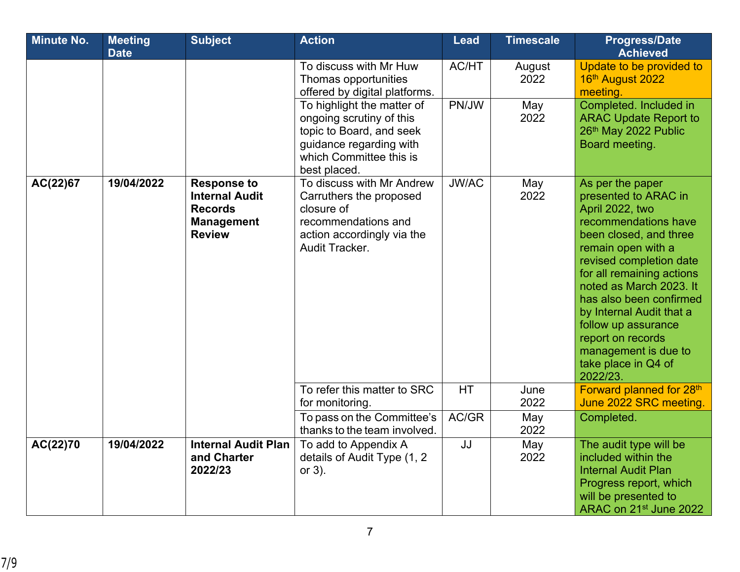| <b>Minute No.</b> | <b>Meeting</b><br><b>Date</b> | <b>Subject</b>                                                                                      | <b>Action</b>                                                                                                                                            | <b>Lead</b>  | <b>Timescale</b> | <b>Progress/Date</b><br><b>Achieved</b>                                                                                                                                                                                                                                                                                                                                              |
|-------------------|-------------------------------|-----------------------------------------------------------------------------------------------------|----------------------------------------------------------------------------------------------------------------------------------------------------------|--------------|------------------|--------------------------------------------------------------------------------------------------------------------------------------------------------------------------------------------------------------------------------------------------------------------------------------------------------------------------------------------------------------------------------------|
|                   |                               |                                                                                                     | To discuss with Mr Huw<br>Thomas opportunities<br>offered by digital platforms.                                                                          | AC/HT        | August<br>2022   | Update to be provided to<br>16th August 2022<br>meeting.                                                                                                                                                                                                                                                                                                                             |
|                   |                               |                                                                                                     | To highlight the matter of<br>ongoing scrutiny of this<br>topic to Board, and seek<br>guidance regarding with<br>which Committee this is<br>best placed. | PN/JW        | May<br>2022      | Completed. Included in<br><b>ARAC Update Report to</b><br>26th May 2022 Public<br>Board meeting.                                                                                                                                                                                                                                                                                     |
| AC(22)67          | 19/04/2022                    | <b>Response to</b><br><b>Internal Audit</b><br><b>Records</b><br><b>Management</b><br><b>Review</b> | To discuss with Mr Andrew<br>Carruthers the proposed<br>closure of<br>recommendations and<br>action accordingly via the<br>Audit Tracker.                | <b>JW/AC</b> | May<br>2022      | As per the paper<br>presented to ARAC in<br>April 2022, two<br>recommendations have<br>been closed, and three<br>remain open with a<br>revised completion date<br>for all remaining actions<br>noted as March 2023. It<br>has also been confirmed<br>by Internal Audit that a<br>follow up assurance<br>report on records<br>management is due to<br>take place in Q4 of<br>2022/23. |
|                   |                               |                                                                                                     | To refer this matter to SRC<br>for monitoring.                                                                                                           | <b>HT</b>    | June<br>2022     | Forward planned for 28th<br>June 2022 SRC meeting.                                                                                                                                                                                                                                                                                                                                   |
|                   |                               |                                                                                                     | To pass on the Committee's<br>thanks to the team involved.                                                                                               | AC/GR        | May<br>2022      | Completed.                                                                                                                                                                                                                                                                                                                                                                           |
| AC(22)70          | 19/04/2022                    | <b>Internal Audit Plan</b><br>and Charter<br>2022/23                                                | To add to Appendix A<br>details of Audit Type (1, 2<br>or $3$ ).                                                                                         | JJ           | May<br>2022      | The audit type will be<br>included within the<br><b>Internal Audit Plan</b><br>Progress report, which<br>will be presented to<br>ARAC on 21 <sup>st</sup> June 2022                                                                                                                                                                                                                  |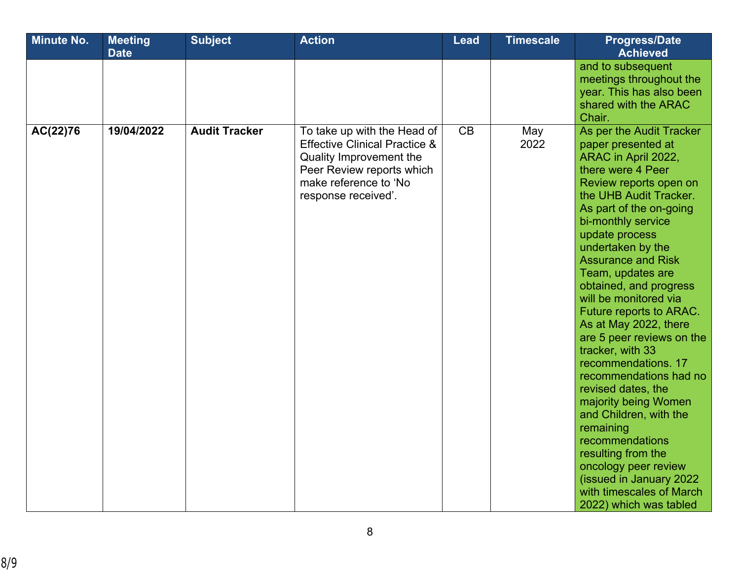| <b>Minute No.</b> | <b>Meeting</b><br><b>Date</b> | <b>Subject</b>       | <b>Action</b>                                                                                                                                                                   | <b>Lead</b> | <b>Timescale</b> | <b>Progress/Date</b><br><b>Achieved</b>                                                                                                                                                                                                                                                                                                                                                                                                                                                                                                                                                                                                                                                                                                  |
|-------------------|-------------------------------|----------------------|---------------------------------------------------------------------------------------------------------------------------------------------------------------------------------|-------------|------------------|------------------------------------------------------------------------------------------------------------------------------------------------------------------------------------------------------------------------------------------------------------------------------------------------------------------------------------------------------------------------------------------------------------------------------------------------------------------------------------------------------------------------------------------------------------------------------------------------------------------------------------------------------------------------------------------------------------------------------------------|
|                   |                               |                      |                                                                                                                                                                                 |             |                  | and to subsequent<br>meetings throughout the<br>year. This has also been<br>shared with the ARAC<br>Chair.                                                                                                                                                                                                                                                                                                                                                                                                                                                                                                                                                                                                                               |
| AC(22)76          | 19/04/2022                    | <b>Audit Tracker</b> | To take up with the Head of<br><b>Effective Clinical Practice &amp;</b><br>Quality Improvement the<br>Peer Review reports which<br>make reference to 'No<br>response received'. | CB          | May<br>2022      | As per the Audit Tracker<br>paper presented at<br>ARAC in April 2022,<br>there were 4 Peer<br>Review reports open on<br>the UHB Audit Tracker.<br>As part of the on-going<br>bi-monthly service<br>update process<br>undertaken by the<br><b>Assurance and Risk</b><br>Team, updates are<br>obtained, and progress<br>will be monitored via<br>Future reports to ARAC.<br>As at May 2022, there<br>are 5 peer reviews on the<br>tracker, with 33<br>recommendations. 17<br>recommendations had no<br>revised dates, the<br>majority being Women<br>and Children, with the<br>remaining<br>recommendations<br>resulting from the<br>oncology peer review<br>(issued in January 2022<br>with timescales of March<br>2022) which was tabled |